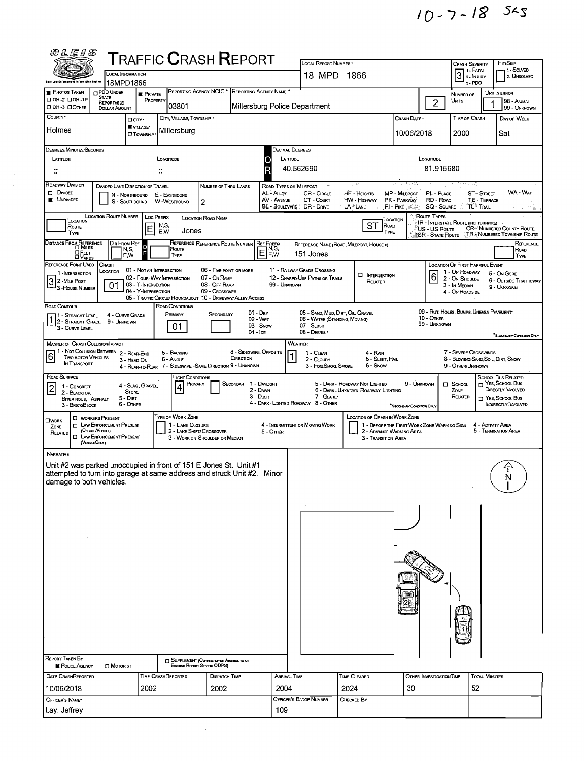| ตแรนร                                                                                                                                                                                                                                                                                                                                                                                                                                                                                                                                                                                                                                |                                                                                                                                                                                                       |                                                                      |                                                             |                                                             | ${\sf T}$ RAFFIC ${\sf C}$ RASH ${\sf R}$ EPORT |                                                                                                                                                                                                                                                             |                                                            | LOCAL REPORT NUMBER *                                                                                                            |              |                                    |                                |                                                               |                                                                                                               |                            | HIT/SKIP                                                                          |  |
|--------------------------------------------------------------------------------------------------------------------------------------------------------------------------------------------------------------------------------------------------------------------------------------------------------------------------------------------------------------------------------------------------------------------------------------------------------------------------------------------------------------------------------------------------------------------------------------------------------------------------------------|-------------------------------------------------------------------------------------------------------------------------------------------------------------------------------------------------------|----------------------------------------------------------------------|-------------------------------------------------------------|-------------------------------------------------------------|-------------------------------------------------|-------------------------------------------------------------------------------------------------------------------------------------------------------------------------------------------------------------------------------------------------------------|------------------------------------------------------------|----------------------------------------------------------------------------------------------------------------------------------|--------------|------------------------------------|--------------------------------|---------------------------------------------------------------|---------------------------------------------------------------------------------------------------------------|----------------------------|-----------------------------------------------------------------------------------|--|
| Shie Low Enforcement Information Exatem                                                                                                                                                                                                                                                                                                                                                                                                                                                                                                                                                                                              |                                                                                                                                                                                                       | <b>LOCAL INFORMATION</b><br>18MPD1866                                |                                                             |                                                             |                                                 |                                                                                                                                                                                                                                                             |                                                            | 18 MPD 1866                                                                                                                      |              |                                    |                                |                                                               | Crash Severity<br><b>1 1 - FATAL</b><br>$31.1$ NJURY<br>3-PDO                                                 |                            | 1 - Solved<br>2. UNSOLVED                                                         |  |
| <b>PHOTOS TAKEN</b>                                                                                                                                                                                                                                                                                                                                                                                                                                                                                                                                                                                                                  | PDO UNDER<br><b>STATE</b>                                                                                                                                                                             | <b>E</b> PRIVATE                                                     |                                                             | REPORTING AGENCY NCIC <sup>*</sup><br>REPORTING AGENCY NAME |                                                 |                                                                                                                                                                                                                                                             |                                                            |                                                                                                                                  |              |                                    |                                | NUMBER OF                                                     |                                                                                                               | UNIT IN ERROR              |                                                                                   |  |
| □ 0Н-2 □ 0Н-1Р<br>O OH -3 O OTHER                                                                                                                                                                                                                                                                                                                                                                                                                                                                                                                                                                                                    | REPORTABLE<br><b>DOLLAR AMOUNT</b>                                                                                                                                                                    |                                                                      | PROPERTY                                                    | 03801                                                       |                                                 |                                                                                                                                                                                                                                                             |                                                            | Millersburg Police Department                                                                                                    |              |                                    |                                | $\overline{2}$                                                | Umits                                                                                                         |                            | 98 - ANIMAL<br>99 - UNKNOWN                                                       |  |
| County -                                                                                                                                                                                                                                                                                                                                                                                                                                                                                                                                                                                                                             |                                                                                                                                                                                                       | <b>Ocry</b><br><b>WILLAGE</b>                                        |                                                             | CITY, VILLAGE, TOWNSHIP .                                   |                                                 |                                                                                                                                                                                                                                                             |                                                            |                                                                                                                                  |              |                                    | CRASH DATE *                   |                                                               | TIME OF CRASH                                                                                                 |                            | DAY OF WEEK                                                                       |  |
| Holmes                                                                                                                                                                                                                                                                                                                                                                                                                                                                                                                                                                                                                               |                                                                                                                                                                                                       | <b>O</b> TOWNSHIP                                                    |                                                             | Millersburg                                                 |                                                 |                                                                                                                                                                                                                                                             |                                                            |                                                                                                                                  |              |                                    | 10/06/2018                     |                                                               | 2000                                                                                                          |                            | Sat                                                                               |  |
| DEGREES/MINUTES/SECONDS                                                                                                                                                                                                                                                                                                                                                                                                                                                                                                                                                                                                              |                                                                                                                                                                                                       |                                                                      |                                                             |                                                             |                                                 |                                                                                                                                                                                                                                                             |                                                            | Decimal Degrees                                                                                                                  |              |                                    |                                |                                                               |                                                                                                               |                            |                                                                                   |  |
| LATITUDE<br>∷                                                                                                                                                                                                                                                                                                                                                                                                                                                                                                                                                                                                                        |                                                                                                                                                                                                       |                                                                      | LONGITUDE<br>÷.                                             |                                                             |                                                 |                                                                                                                                                                                                                                                             | LATTUDE<br>ο                                               | 40.562690                                                                                                                        |              |                                    |                                | LONGITUDE<br>81.915680                                        |                                                                                                               |                            |                                                                                   |  |
| ROADWAY DIVISION<br>$\Box$ DIMDED<br><b>UNDIVIDED</b>                                                                                                                                                                                                                                                                                                                                                                                                                                                                                                                                                                                |                                                                                                                                                                                                       | DIVIDED LANE DIRECTION OF TRAVEL<br>N - NORTHBOUND<br>S - SOUTHBOUND | E - EASTBOUND<br>W WESTBOUND                                |                                                             | NUMBER OF THRU LANES<br>$\overline{2}$          |                                                                                                                                                                                                                                                             | ROAD TYPES OR MILEPOST<br>AL - ALLEY<br><b>AV - AVENUE</b> | CR-CIRCLE<br>CT - Count                                                                                                          |              | 计限<br>HE - Heights<br>HW - HIGHWAY | MP - MILEPOST<br>PK - PARKWAY. | PL - PLACE<br>RD - Road                                       | W.                                                                                                            | ∵ST-Sπeet<br>TE - TERRACE  | WA - WAY                                                                          |  |
| BL - BOULEVARD" DR - DRIVE<br>LA LANE<br>.PI - Ρικε ⊱⊗ે<br><b>SQ - SQUARE</b><br>้ TL≊ Trail<br>LOCATION ROUTE NUMBER<br>ROUTE TYPES<br><b>LOC PREFIX</b><br><b>LOCATION ROAD NAME</b><br>LOCATION                                                                                                                                                                                                                                                                                                                                                                                                                                   |                                                                                                                                                                                                       |                                                                      |                                                             |                                                             |                                                 |                                                                                                                                                                                                                                                             |                                                            |                                                                                                                                  |              |                                    |                                |                                                               |                                                                                                               | この姿                        |                                                                                   |  |
| LOCATION<br>Route<br>TYPE                                                                                                                                                                                                                                                                                                                                                                                                                                                                                                                                                                                                            |                                                                                                                                                                                                       | Ε                                                                    | N,S,<br>E.W                                                 | Jones                                                       |                                                 |                                                                                                                                                                                                                                                             |                                                            |                                                                                                                                  |              | ST<br>Road<br>TYPE                 |                                | <b>IR - INTERSTATE ROUTE (INC. TURNPIKE)</b><br>US - US Route |                                                                                                               |                            | <b>CR- NUMBERED COUNTY ROUTE</b><br>SR - State Route JR - Numbered Township Route |  |
| Distance From Reference<br>O Miles<br>OFEET<br><b>DYARDS</b>                                                                                                                                                                                                                                                                                                                                                                                                                                                                                                                                                                         |                                                                                                                                                                                                       | Dir From Ref<br>$\circ$<br>N,S,<br>E,W                               |                                                             | Route<br>TYPE                                               | REFERENCE REFERENCE ROUTE NUMBER                |                                                                                                                                                                                                                                                             | <b>REF PREFIX</b><br>$E_{\text{Fw}}^{NS}$                  | REFERENCE NAME (ROAD, MILEPOST, HOUSE #)<br>151 Jones                                                                            |              |                                    |                                |                                                               |                                                                                                               |                            | Reference<br>ROAD<br>TYPE                                                         |  |
| REFERENCE POINT USED<br><b>CRASH</b><br>LOCATION OF FIRST HARMFUL EVENT<br>01 - NOT AN INTERSECTION<br>11 RAILWAY GRADE CROSSING<br>06 - FIVE-POINT, OR MORE<br>LOCATION<br>1 - On ROADWAY<br>1-INTERSECTION<br>6<br><b>INTERSECTION</b><br>02 - FOUR-WAY INTERSECTION<br>07 - On RAMP<br>12 - SHARED-USE PATHS OR TRAILS<br>2 - On Shoulde<br>$\overline{3}$<br>2 - MILE POST<br>RELATED<br>03 - T-INTERSECTION<br>08 - Off Ramp<br>99 - UNKNOWN<br>01<br>3 - In MEDIAN<br><sup>1</sup> 3 - House Number<br>04 - Y-INTERSECTION<br>09 - Crossover<br>4 - On ROADSIDE<br>05 - TRAFFIC CIRCLE/ ROUNDABOUT 10 - DRIVEWAY/ ALLEY ACCESS |                                                                                                                                                                                                       |                                                                      |                                                             |                                                             |                                                 |                                                                                                                                                                                                                                                             |                                                            |                                                                                                                                  |              |                                    |                                |                                                               | 5 - On Gore<br><b>6 - OUTSIDE TRAFFICWAY</b><br>9 - Unknown                                                   |                            |                                                                                   |  |
| ROAD CONDITIONS<br>Road Contour<br>09 - RUT, HOLES, BUMPS, UNEVEN PAVEMENT<br>01 - Day<br>05 - SAND, MUD, DIRT, OIL, GRAVEL<br>PRIMARY<br>4 - CURVE GRADE<br>SECONDARY<br>71 - Straight Level<br>$1\begin{bmatrix} 1 & -31649611 & -3166 \\ 2 & -317640611 & -31666 & 9 - 1 \end{bmatrix}$<br>10 - OTHER<br>02 - Wer<br>06 - WATER (STANDING, MOVING)<br>99 - UNKNOWN<br>03 - Snow<br>07 - SLUSH<br>01<br>3 - CURVE LEVEL<br>$04 - lce$<br>08 - DEBRIS                                                                                                                                                                               |                                                                                                                                                                                                       |                                                                      |                                                             |                                                             |                                                 |                                                                                                                                                                                                                                                             |                                                            |                                                                                                                                  |              |                                    |                                | SECONDARY CONDITION ONLY                                      |                                                                                                               |                            |                                                                                   |  |
| MANNER OF CRASH COLLISION/IMPACT<br>1 - Not COLLISION BETWEEN 2 - REAR-END<br>6<br><b>TWO MOTOR VEHICLES</b><br>IN TRANSPORT                                                                                                                                                                                                                                                                                                                                                                                                                                                                                                         | 7 - SEVERE CROSSWINDS<br>4 - Rain<br>5 - SLEET, HAIL<br>8 - BLOWING SAND, SOIL, DIRT, SNOW<br>6 - Snow<br>3 - Fog Smog, Smoke<br>9 - OTHER/UNKNOWN                                                    |                                                                      |                                                             |                                                             |                                                 |                                                                                                                                                                                                                                                             |                                                            |                                                                                                                                  |              |                                    |                                |                                                               |                                                                                                               |                            |                                                                                   |  |
| ROAD SURFACE<br>$\vert$ 2<br>1 - CONCRETE<br>2 - BLACKTOP<br>BITUMINOUS, ASPHALT<br>3 - BRICK/BLOCK                                                                                                                                                                                                                                                                                                                                                                                                                                                                                                                                  |                                                                                                                                                                                                       | 4 - Slag, Gravel,<br><b>STONE</b><br>5 - Dirt<br>6 - Other           |                                                             | Light Conditions<br>PRIMARY                                 |                                                 | Secondar<br>5 - DARK - ROADWAY NOT LIGHTED<br>1 - Dayught<br>9 - Unknown<br>$\Box$ Sснооц<br>2 - DAWN<br>6 - Dark - Unknown Roadway Lighting<br>ZONE<br>3 - Dusk<br>7 GLARE<br>RELATED<br>4 - DARK - LIGHTED ROADWAY 8 - OTHER<br>"SECONDARY CONDITION ONLY |                                                            |                                                                                                                                  |              |                                    |                                |                                                               | SCHOOL BUS RELATED<br>$\Box$ YES, SCHOOL Bus<br>DIRECTLY INVOLVED<br>T YES, SCHOOL BUS<br>INDIRECTLY INVOLVED |                            |                                                                                   |  |
| <b>I WORKERS PRESENT</b><br><b>OWORK</b><br><b>D</b> LAW ENFORCEMENT PRESENT<br>ZONE<br>(Οπασι Νεκατ)<br>RELATED<br><b>O LAW ENFORCEMENT PRESENT</b><br>(VEHOLEONLY)                                                                                                                                                                                                                                                                                                                                                                                                                                                                 |                                                                                                                                                                                                       | TYPE OF WORK ZONE<br>1 - LANE CLOSURE                                | 2 - LANE SHIFT/ CROSSOVER<br>3 - WORK ON SHOULDER OR MEDIAN |                                                             | 5 - Other                                       | 4 - INTERMITTENT OR MOVING WORK                                                                                                                                                                                                                             |                                                            | LOCATION OF CRASH IN WORK ZONE<br>1 - BEFORE THE FIRST WORK ZONE WARNING SIGN<br>2 - ADVANCE WARNING AREA<br>3 - Transition Area |              |                                    |                                | 4 - Activity Area                                             | 5 - Termination Area                                                                                          |                            |                                                                                   |  |
| <b>NARRATIVE</b>                                                                                                                                                                                                                                                                                                                                                                                                                                                                                                                                                                                                                     | Unit #2 was parked unoccupied in front of 151 E Jones St. Unit #1<br>$\widehat{\Upsilon}$<br>attempted to turn into garage at same address and struck Unit #2. Minor<br>Ņ<br>damage to both vehicles. |                                                                      |                                                             |                                                             |                                                 |                                                                                                                                                                                                                                                             |                                                            |                                                                                                                                  |              |                                    |                                |                                                               |                                                                                                               |                            |                                                                                   |  |
|                                                                                                                                                                                                                                                                                                                                                                                                                                                                                                                                                                                                                                      |                                                                                                                                                                                                       |                                                                      |                                                             |                                                             |                                                 |                                                                                                                                                                                                                                                             |                                                            |                                                                                                                                  |              |                                    |                                |                                                               |                                                                                                               |                            |                                                                                   |  |
|                                                                                                                                                                                                                                                                                                                                                                                                                                                                                                                                                                                                                                      |                                                                                                                                                                                                       |                                                                      |                                                             |                                                             |                                                 |                                                                                                                                                                                                                                                             |                                                            |                                                                                                                                  |              |                                    |                                |                                                               |                                                                                                               |                            |                                                                                   |  |
| REPORT TAKEN BY<br>SUPPLEMENT (CORRECTION OR ADDITION TO AN                                                                                                                                                                                                                                                                                                                                                                                                                                                                                                                                                                          |                                                                                                                                                                                                       |                                                                      |                                                             |                                                             |                                                 |                                                                                                                                                                                                                                                             |                                                            |                                                                                                                                  |              |                                    |                                |                                                               |                                                                                                               |                            |                                                                                   |  |
|                                                                                                                                                                                                                                                                                                                                                                                                                                                                                                                                                                                                                                      | POUCE AGENCY<br><b>D</b> MOTORIST<br>Existing Report Sent to ODPS)                                                                                                                                    |                                                                      |                                                             |                                                             |                                                 |                                                                                                                                                                                                                                                             |                                                            |                                                                                                                                  |              |                                    |                                |                                                               |                                                                                                               |                            |                                                                                   |  |
| DATE CRASHREPORTED                                                                                                                                                                                                                                                                                                                                                                                                                                                                                                                                                                                                                   |                                                                                                                                                                                                       |                                                                      | TIME CRASHREPORTED                                          |                                                             | DISPATCH TIME                                   |                                                                                                                                                                                                                                                             | <b>ARRIVAL TIME</b>                                        |                                                                                                                                  | TIME CLEARED |                                    |                                | OTHER INVESTIGATION TIME                                      |                                                                                                               | <b>TOTAL MINUTES</b><br>52 |                                                                                   |  |
| 10/06/2018<br>2002<br>2002<br>2004<br>OFFICER'S NAME*                                                                                                                                                                                                                                                                                                                                                                                                                                                                                                                                                                                |                                                                                                                                                                                                       |                                                                      |                                                             |                                                             |                                                 |                                                                                                                                                                                                                                                             |                                                            | OFFICER'S BADGE NUMBER                                                                                                           |              | 30<br>2024<br>CHECKED BY           |                                |                                                               |                                                                                                               |                            |                                                                                   |  |
| Lay, Jeffrey                                                                                                                                                                                                                                                                                                                                                                                                                                                                                                                                                                                                                         |                                                                                                                                                                                                       |                                                                      |                                                             |                                                             |                                                 |                                                                                                                                                                                                                                                             |                                                            |                                                                                                                                  |              |                                    |                                |                                                               |                                                                                                               |                            |                                                                                   |  |

 $\frac{1}{\sqrt{2}}\frac{d\phi}{d\phi}$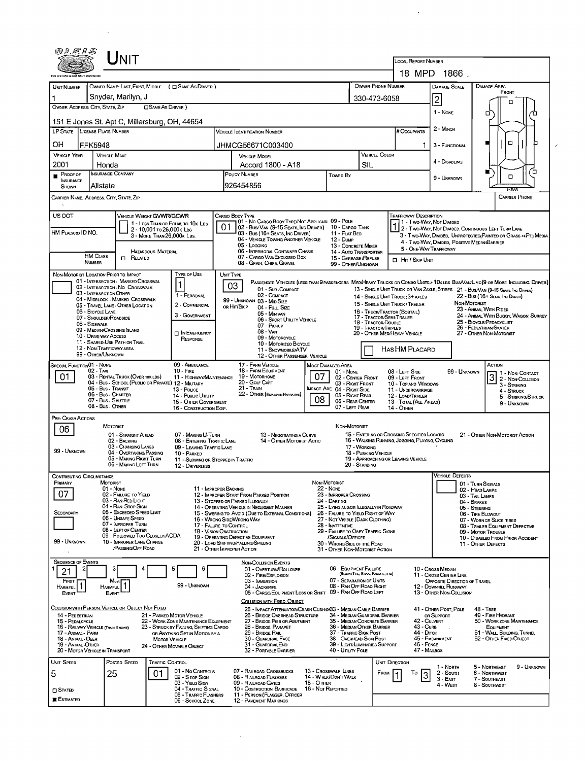| NIT<br>LOCAL REPORT NUMBER                                                                                                                                                                                                                                                                                                                            |                           |                                                                            |                                                         |                                                                   |                                                                                                                                                                                 |                                                                                               |                                                     |                                                               |                                                                                    |                                                                                                 |                                                   |                                                                               |                                                                                                                              |  |  |
|-------------------------------------------------------------------------------------------------------------------------------------------------------------------------------------------------------------------------------------------------------------------------------------------------------------------------------------------------------|---------------------------|----------------------------------------------------------------------------|---------------------------------------------------------|-------------------------------------------------------------------|---------------------------------------------------------------------------------------------------------------------------------------------------------------------------------|-----------------------------------------------------------------------------------------------|-----------------------------------------------------|---------------------------------------------------------------|------------------------------------------------------------------------------------|-------------------------------------------------------------------------------------------------|---------------------------------------------------|-------------------------------------------------------------------------------|------------------------------------------------------------------------------------------------------------------------------|--|--|
|                                                                                                                                                                                                                                                                                                                                                       |                           | 18 MPD 1866                                                                |                                                         |                                                                   |                                                                                                                                                                                 |                                                                                               |                                                     |                                                               |                                                                                    |                                                                                                 |                                                   |                                                                               |                                                                                                                              |  |  |
|                                                                                                                                                                                                                                                                                                                                                       |                           |                                                                            |                                                         |                                                                   |                                                                                                                                                                                 |                                                                                               | DAMAGE SCALE                                        |                                                               |                                                                                    |                                                                                                 |                                                   |                                                                               |                                                                                                                              |  |  |
| UNIT NUMBER                                                                                                                                                                                                                                                                                                                                           |                           | OWNER NAME: LAST, FIRST, MIDDLE ( C SAME AS DRIVER )<br>Snyder, Marilyn, J |                                                         |                                                                   |                                                                                                                                                                                 |                                                                                               |                                                     |                                                               | OWNER PHONE NUMBER                                                                 |                                                                                                 | DAMAGE AREA<br>FRONT                              |                                                                               |                                                                                                                              |  |  |
| OWNER ADDRESS: CITY, STATE, ZIP                                                                                                                                                                                                                                                                                                                       |                           |                                                                            | <b>CISAME AS DRIVER</b> )                               |                                                                   |                                                                                                                                                                                 |                                                                                               |                                                     |                                                               | 330-473-6058                                                                       |                                                                                                 | $\overline{2}$                                    |                                                                               | п                                                                                                                            |  |  |
| 151 E Jones St. Apt C, Millersburg, OH, 44654                                                                                                                                                                                                                                                                                                         |                           |                                                                            |                                                         |                                                                   |                                                                                                                                                                                 |                                                                                               |                                                     |                                                               |                                                                                    |                                                                                                 |                                                   | 1 - None                                                                      | ο<br>Έ                                                                                                                       |  |  |
| LP STATE LICENSE PLATE NUMBER                                                                                                                                                                                                                                                                                                                         |                           |                                                                            |                                                         |                                                                   |                                                                                                                                                                                 | <b>VEHICLE IDENTIFICATION NUMBER</b>                                                          |                                                     |                                                               |                                                                                    | # Occupants                                                                                     | 2 - MINOR                                         |                                                                               |                                                                                                                              |  |  |
| OН                                                                                                                                                                                                                                                                                                                                                    | FFK5948                   |                                                                            |                                                         |                                                                   |                                                                                                                                                                                 | JHMCG56671C003400                                                                             |                                                     |                                                               |                                                                                    |                                                                                                 | 3 - FUNCTIONAL                                    |                                                                               | $\Box$<br>п                                                                                                                  |  |  |
| <b>VEHICLE YEAR</b>                                                                                                                                                                                                                                                                                                                                   |                           | <b>VEHICLE MAKE</b>                                                        |                                                         |                                                                   |                                                                                                                                                                                 | <b>VEHICLE MODEL</b>                                                                          |                                                     |                                                               | <b>VEHICLE COLOR</b>                                                               |                                                                                                 | 4 - DISABLING                                     |                                                                               |                                                                                                                              |  |  |
| 2001                                                                                                                                                                                                                                                                                                                                                  |                           | Honda<br>INSURANCE COMPANY                                                 |                                                         |                                                                   |                                                                                                                                                                                 | Accord 1800 - A18<br>POUCY NUMBER                                                             |                                                     |                                                               | <b>SIL</b>                                                                         |                                                                                                 |                                                   |                                                                               | Γ                                                                                                                            |  |  |
| Proof of<br>INSURANCE<br>SHOWN                                                                                                                                                                                                                                                                                                                        |                           | Allstate                                                                   |                                                         |                                                                   |                                                                                                                                                                                 | 926454856                                                                                     |                                                     |                                                               | <b>Towed By</b>                                                                    |                                                                                                 |                                                   | 9 - Unknown                                                                   | $\Box$                                                                                                                       |  |  |
| REA<br>CARRIER NAME, ADDRESS, CITY, STATE, ZIP<br>CARRIER PHONE                                                                                                                                                                                                                                                                                       |                           |                                                                            |                                                         |                                                                   |                                                                                                                                                                                 |                                                                                               |                                                     |                                                               |                                                                                    |                                                                                                 |                                                   |                                                                               |                                                                                                                              |  |  |
|                                                                                                                                                                                                                                                                                                                                                       |                           |                                                                            |                                                         |                                                                   |                                                                                                                                                                                 |                                                                                               |                                                     |                                                               |                                                                                    |                                                                                                 |                                                   |                                                                               |                                                                                                                              |  |  |
| US DOT                                                                                                                                                                                                                                                                                                                                                |                           | <b>VEHICLE WEIGHT GVWR/GCWR</b>                                            |                                                         | 1 - LESS THAN OR EQUAL TO 10K LBS                                 |                                                                                                                                                                                 | CARGO BODY TYPE<br>  01 - No Cargo Body Type/Not Applicabl. 09 - Pole                         |                                                     |                                                               |                                                                                    | <b>TRAFFICWAY DESCRIPTION</b><br>1 - Two-Way, Not Divided                                       |                                                   |                                                                               |                                                                                                                              |  |  |
| HM PLACARD ID NO.                                                                                                                                                                                                                                                                                                                                     |                           |                                                                            | 2 - 10,001 To 26,000K LBS<br>3 - MORE THAN 26,000K LBS. |                                                                   | 01                                                                                                                                                                              | 02 - Bus/ VAN (9-15 SEATS, INC DRIVER) 10 - CARGO TANK<br>03 - Bus (16+ SEATS, INC DRIVER)    |                                                     | 11 - FLAT BED                                                 |                                                                                    |                                                                                                 |                                                   |                                                                               | 2 - Two-Way, NOT DIVIDED, CONTINUOUS LEFT TURN LANE<br>3 - Two-WAY, DIVIDED, UNPROTECTED (PAINTED OR GRASS >4FT.) MEDIA      |  |  |
|                                                                                                                                                                                                                                                                                                                                                       |                           |                                                                            |                                                         |                                                                   |                                                                                                                                                                                 | 04 - VEHICLE TOWING ANOTHER VEHICLE<br>05 - Loccing                                           |                                                     | <b>12 - DUMP</b><br>13 - CONCRETE MIXER                       |                                                                                    | 4 - Two-Way, DIVIDED, POSITIVE MEDIANBARRIER                                                    |                                                   |                                                                               |                                                                                                                              |  |  |
|                                                                                                                                                                                                                                                                                                                                                       | HM CLASS<br><b>NUMBER</b> | $\Box$ Related                                                             | <b>HAZARDOUS MATERIAL</b>                               |                                                                   |                                                                                                                                                                                 | 06 - INTERMODAL CONTAINER CHASIS<br>07 - CARGO VAN/ENCLOSED BOX                               |                                                     | 14 - AUTO TRANSPORTER<br>15 - GARBAGE /REFUSE                 |                                                                                    | 5 - ONE-WAY TRAFFICWAY<br><b>D</b> Hr / Skip UNT                                                |                                                   |                                                                               |                                                                                                                              |  |  |
|                                                                                                                                                                                                                                                                                                                                                       |                           | NON-MOTORIST LOCATION PRIOR TO IMPACT                                      |                                                         | TYPE OF USE                                                       |                                                                                                                                                                                 | 08 - GRAIN, CHIPS, GRAVEL<br>UNIT TYPE                                                        |                                                     | 99 - OTHER/UNKNOWN                                            |                                                                                    |                                                                                                 |                                                   |                                                                               |                                                                                                                              |  |  |
|                                                                                                                                                                                                                                                                                                                                                       |                           | 01 - INTERSECTION - MARKED CROSSWAL                                        |                                                         | 1                                                                 |                                                                                                                                                                                 | 03                                                                                            |                                                     |                                                               |                                                                                    |                                                                                                 |                                                   |                                                                               | PASSENGER VEHICLES (LESS THAN 9 PASSENGERS MEDIHEAVY TRUCKS OR COMBO UNITS > 10K LBS BUS/VAWLIMO(9 OR MORE INCLUDING DRIVER) |  |  |
|                                                                                                                                                                                                                                                                                                                                                       |                           | 02 - INTERSECTION - NO CROSSWALK<br>03 - INTERSECTION OTHER                |                                                         | 1 - PERSONAL                                                      |                                                                                                                                                                                 | 01 - Sub - COMPACT<br>02 - COMPACT                                                            |                                                     |                                                               |                                                                                    | 14 - SINGLE UNIT TRUCK: 3+ AXLES                                                                |                                                   |                                                                               | 13 - SINGLE UNIT TRUCK OR VAN 2AXLE, 6 TIRES 21 - BUS/VAN (9-15 SEATS, INC DRIVER)<br>22 - Bus (16+ Seats, Inc Draver)       |  |  |
|                                                                                                                                                                                                                                                                                                                                                       |                           | 04 - MIDBLOCK - MARKED CROSSWALK<br>05 - TRAVEL LANE - OTHER LOCATION      |                                                         | 2 - COMMERCIAL                                                    |                                                                                                                                                                                 | 99 - UNKNOWN 03 - MID SIZE<br>OR HIT/SKIP<br>04 - Full Size                                   |                                                     |                                                               |                                                                                    | 15 - SINGLE UNIT TRUCK / TRAILER                                                                |                                                   | NON-MOTORIST                                                                  | 23 - ANIMAL WITH RIDER                                                                                                       |  |  |
|                                                                                                                                                                                                                                                                                                                                                       | 06 - BICYCLE LANE         | 07 - Shoulder/Roadside                                                     |                                                         | 3 - GOVERNMENT                                                    |                                                                                                                                                                                 | 05 - Minivan<br>06 - SPORT UTILITY VEHICLE                                                    |                                                     |                                                               | 17 - TRACTOR/SEMI-TRAILER                                                          | 16 - Truck/Tractor (Boetal)                                                                     |                                                   |                                                                               | 24 - ANIMAL WITH BUGGY, WAGON, SURREY                                                                                        |  |  |
|                                                                                                                                                                                                                                                                                                                                                       | 08 - SIDEWALK             | 09 - MEDIAN CROSSING SLAND                                                 |                                                         | <b>DIN EMERGENCY</b>                                              | 07 - PICKUP<br>08 - VAN                                                                                                                                                         |                                                                                               |                                                     |                                                               | 18 - TRACTOR/DOUBLE<br><b>19 - TRACTOR/TRIPLES</b><br>20 - OTHER MEDIHEAVY VEHICLE |                                                                                                 |                                                   | 25 - BICYCLE/PEDACYCLIST<br>26 - PEDESTRIAN/SKATER<br>27 - OTHER NON-MOTORIST |                                                                                                                              |  |  |
|                                                                                                                                                                                                                                                                                                                                                       |                           | 10 - DRIVE WAY ACCESS<br>11 - SHARED-USE PATH OR TRAIL                     |                                                         | RESPONSE                                                          |                                                                                                                                                                                 | 09 - MOTORCYCLE<br>10 - MOTORIZED BICYCLE                                                     |                                                     |                                                               |                                                                                    |                                                                                                 |                                                   |                                                                               |                                                                                                                              |  |  |
|                                                                                                                                                                                                                                                                                                                                                       |                           | 12 - NON-TRAFFICWAY AREA<br>99 - OTHER/UNKNOWN                             |                                                         |                                                                   | 11 - SNOWMOBILE/ATV<br>12 - OTHER PASSENGER VEHICLE                                                                                                                             |                                                                                               |                                                     |                                                               |                                                                                    | HASHM PLACARD                                                                                   |                                                   |                                                                               |                                                                                                                              |  |  |
| SPECIAL FUNCTION 01 - NONE                                                                                                                                                                                                                                                                                                                            |                           |                                                                            |                                                         | 09 - AMBULANCE                                                    |                                                                                                                                                                                 | 17 - FARM VEHICLE<br>18 - FARM EQUIPMENT                                                      |                                                     | <b>MOST DAMAGED AREA</b>                                      |                                                                                    |                                                                                                 |                                                   |                                                                               | ACTION                                                                                                                       |  |  |
| 01                                                                                                                                                                                                                                                                                                                                                    | 02 - TAXI                 | 03 - RENTAL TRUCK (OVER 10K LBS)                                           |                                                         | $10 -$ Fire<br>11 - HIGHWAY/MAINTENANCE                           | 01 - None<br>19 - MOTORHOME<br>07<br>20 - Golf Cart                                                                                                                             |                                                                                               |                                                     |                                                               | 02 - CENTER FRONT                                                                  | 08 - LEFT SIDE<br>09 - LEFT FRONT                                                               |                                                   | 99 - UNKNOWN                                                                  | 1 - Non-Contact<br>$\overline{3}$<br>2 - Non-Counsion                                                                        |  |  |
|                                                                                                                                                                                                                                                                                                                                                       |                           | 04 - Bus - SCHOOL (PUBLIC OR PRIVATE) 12 - MILITARY<br>05 - Bus - Transit  |                                                         | 13 - Pouce                                                        | 21 - Train<br><b>IMPACT ARE 04 - RIGHT SIDE</b><br>22 - OTHER (EXPLAIN IN NARRATIVE)                                                                                            |                                                                                               |                                                     |                                                               | 03 - RIGHT FRONT                                                                   | 10 - TOP AND WINDOWS<br>11 - UNDERCARRIAGE                                                      |                                                   |                                                                               | 3 - STRIKING<br>4 - STRUCK                                                                                                   |  |  |
|                                                                                                                                                                                                                                                                                                                                                       |                           | 06 - Bus - Charter<br>07 - Bus - SHUTTLE                                   |                                                         | 14 - PUBLIC UTILITY<br>15 - OTHER GOVERNMENT                      | 08                                                                                                                                                                              |                                                                                               |                                                     |                                                               | 05 - RIGHT REAR<br>06 - REAR CENTER                                                | 12 - LOAD/TRAILER<br>13 - TOTAL (ALL AREAS)                                                     |                                                   |                                                                               | 5 - STRIKING/STRUCK<br>9 - UNKNOWN                                                                                           |  |  |
| PRE- CRASH ACTIONS                                                                                                                                                                                                                                                                                                                                    |                           | 08 - Bus - OTHER                                                           |                                                         | 16 - CONSTRUCTION EOIP.                                           |                                                                                                                                                                                 |                                                                                               |                                                     | 07 - LEFT REAR                                                |                                                                                    | 14 - OTHER                                                                                      |                                                   |                                                                               |                                                                                                                              |  |  |
| 06                                                                                                                                                                                                                                                                                                                                                    |                           | Motorist                                                                   |                                                         |                                                                   |                                                                                                                                                                                 |                                                                                               |                                                     | NON-MOTORIST                                                  |                                                                                    |                                                                                                 |                                                   |                                                                               |                                                                                                                              |  |  |
|                                                                                                                                                                                                                                                                                                                                                       |                           | 01 - STRAIGHT AHEAD<br>02 - BACKING                                        |                                                         | 07 - MAKING U-TURN<br>08 - ENTERING TRAFFIC LANE                  |                                                                                                                                                                                 | 13 - NEGOTIATING A CURVE<br>14 - OTHER MOTORIST ACTIO                                         |                                                     |                                                               |                                                                                    | 15 - ENTERING OR CROSSING SPECIFIED LOCATIO<br>16 - WALKING, RUNNING, JOGGING, PLAYING, CYCLING |                                                   |                                                                               | 21 - OTHER NON-MOTORIST ACTION                                                                                               |  |  |
| 99 - UNKNOWN                                                                                                                                                                                                                                                                                                                                          |                           | 03 - CHANGING LANES<br>04 - OVERTAKING/PASSING                             |                                                         | 09 - LEAVING TRAFFIC LANE<br>10 - PARKED                          |                                                                                                                                                                                 |                                                                                               |                                                     |                                                               | 17 - WORKING<br>18 - PUSHING VEHICLE                                               |                                                                                                 |                                                   |                                                                               |                                                                                                                              |  |  |
|                                                                                                                                                                                                                                                                                                                                                       |                           | 05 - MAKING RIGHT TURN<br>06 - MAKING LEFT TURN                            |                                                         | 11 - Slowing or Stopped in Traffic<br>12 - DRIVERLESS             |                                                                                                                                                                                 |                                                                                               |                                                     |                                                               | 20 - STANDING                                                                      | 19 - APPROACHING OR LEAVING VEHICLE                                                             |                                                   |                                                                               |                                                                                                                              |  |  |
| CONTRIBUTING CIRCUMSTANCE                                                                                                                                                                                                                                                                                                                             |                           |                                                                            |                                                         |                                                                   |                                                                                                                                                                                 |                                                                                               |                                                     |                                                               |                                                                                    |                                                                                                 | Vehicle Defects                                   |                                                                               |                                                                                                                              |  |  |
| PRIMARY                                                                                                                                                                                                                                                                                                                                               |                           | MOTORIST<br>01 - None                                                      |                                                         | 11 - IMPROPER BACKING                                             |                                                                                                                                                                                 |                                                                                               |                                                     |                                                               | 01 - TURN SIGNALS<br>02 - HEAD LAMPS                                               |                                                                                                 |                                                   |                                                                               |                                                                                                                              |  |  |
| 07                                                                                                                                                                                                                                                                                                                                                    |                           | 02 - FAILURE TO YIELD<br>03 - RAN RED LIGHT                                |                                                         |                                                                   |                                                                                                                                                                                 | 12 - IMPROPER START FROM PARKED POSITION<br>13 - STOPPED OR PARKED ILLEGALLY                  | 22 - NONE<br>23 - IMPROPER CROSSING<br>24 - DARTING |                                                               |                                                                                    |                                                                                                 | 03 - TAIL LAMPS<br>04 - BRAKES                    |                                                                               |                                                                                                                              |  |  |
| SECONDARY                                                                                                                                                                                                                                                                                                                                             |                           | 04 - RAN STOP SIGN<br>05 - Exceeded Speed Limit                            |                                                         |                                                                   | 25 - LYING AND/OR ILLEGALLY IN ROADWAY<br>14 - OPERATING VEHICLE IN NEGLIGENT MANNER<br>15 - Swering to Avoid (Due to External Conditions)<br>26 - FALURE TO YIELD RIGHT OF WAY |                                                                                               |                                                     |                                                               |                                                                                    |                                                                                                 | 05 - STEERING<br>06 - TIRE BLOWOUT                |                                                                               |                                                                                                                              |  |  |
|                                                                                                                                                                                                                                                                                                                                                       |                           | 06 - UNSAFF SPEED<br>07 - IMPROPER TURN                                    |                                                         |                                                                   | 16 - WRONG SIDE/WRONG WAY<br>27 - NOT VISIBLE (DARK CLOTHING)<br>17 - FALURE TO CONTROL<br>28 - INATTENTIVE                                                                     |                                                                                               |                                                     |                                                               |                                                                                    | 07 - WORN OR SLICK TIRES                                                                        |                                                   |                                                                               |                                                                                                                              |  |  |
|                                                                                                                                                                                                                                                                                                                                                       |                           | 08 - LEFT OF CENTER<br>09 - FOLLOWED TOO CLOSELY/ACDA                      |                                                         | <b>18 - VISION OBSTRUCTION</b>                                    |                                                                                                                                                                                 |                                                                                               | 29 - FAILURE TO OBEY TRAFFIC SIGNS                  |                                                               |                                                                                    | 08 - TRAILER EQUIPMENT DEFECTIVE<br>09 - Motor Trouble<br>10 - DISABLED FROM PRIOR ACCIDENT     |                                                   |                                                                               |                                                                                                                              |  |  |
| 19 - OPERATING DEFECTIVE EQUIPMENT<br>/SIGNALS/OFFICER<br>99 - UNKNOWN<br>10 - IMPROPER LANE CHANGE<br>20 - LOAD SHIFTING/FALLING/SPILLING<br>30 - WRONG SIDE OF THE ROAD<br>PASSING OFF ROAD<br>21 - OTHER IMPROPER ACTION<br>31 - OTHER NON-MOTORIST ACTION                                                                                         |                           |                                                                            |                                                         |                                                                   |                                                                                                                                                                                 |                                                                                               |                                                     |                                                               |                                                                                    | 11 - OTHER DEFECTS                                                                              |                                                   |                                                                               |                                                                                                                              |  |  |
| <b>SEQUENCE OF EVENTS</b>                                                                                                                                                                                                                                                                                                                             |                           |                                                                            |                                                         |                                                                   |                                                                                                                                                                                 |                                                                                               |                                                     |                                                               |                                                                                    |                                                                                                 |                                                   |                                                                               |                                                                                                                              |  |  |
| 21                                                                                                                                                                                                                                                                                                                                                    |                           |                                                                            |                                                         | 5<br>6                                                            |                                                                                                                                                                                 | NON-COLLISION EVENTS<br>01 - Overturn/Rollover                                                |                                                     | 06 - EQUIPMENT FAILURE                                        | (BLOWN TIRE, BRAKE FAILURE, ETC)                                                   |                                                                                                 | 10 - Cross Median                                 |                                                                               |                                                                                                                              |  |  |
| FIRST                                                                                                                                                                                                                                                                                                                                                 |                           | Most                                                                       |                                                         | 99 - UNKNOWN                                                      |                                                                                                                                                                                 | 02 - FIRE/EXPLOSION<br>03 - IMMERSION                                                         |                                                     | 07 - SEPARATION OF UNITS<br>08 - RAN OFF ROAD RIGHT           |                                                                                    |                                                                                                 | 11 - CROSS CENTER LINE                            | OPPOSITE DIRECTION OF TRAVEL                                                  |                                                                                                                              |  |  |
| <b>HARMFUL</b><br>EVENT                                                                                                                                                                                                                                                                                                                               |                           | <b>HARMFUL</b><br>EVENT                                                    |                                                         |                                                                   |                                                                                                                                                                                 | 04 - JACKKMFE<br>05 - CARGO/EOUIPMENT LOSS OR SHIFT 09 - RAN OFF ROAD LEFT                    |                                                     |                                                               |                                                                                    |                                                                                                 | 12 - DOWNHILL RUNAWAY<br>13 - OTHER NON-COLLISION |                                                                               |                                                                                                                              |  |  |
|                                                                                                                                                                                                                                                                                                                                                       |                           | COLLISION WITH PERSON, VEHICLE OR OBJECT NOT FIXED                         |                                                         |                                                                   |                                                                                                                                                                                 | COLLISION WITH FIXED, OBJECT<br>25 - IMPACT ATTENUATOR/CRASH CUSHION33 - MEDIAN CABLE BARRIER |                                                     |                                                               |                                                                                    |                                                                                                 | 41 - OTHER POST, POLE                             |                                                                               | <b>48 - TREE</b>                                                                                                             |  |  |
| 14 - PEDESTRIAN<br>15 - PEDALCYCLE                                                                                                                                                                                                                                                                                                                    |                           |                                                                            |                                                         | 21 - PARKED MOTOR VEHICLE<br>22 - WORK ZONE MAINTENANCE EQUIPMENT |                                                                                                                                                                                 | 26 - BRIDGE OVERHEAD STRUCTURE<br>27 - BRIDGE PIER OR ABUTMENT                                |                                                     | 34 - MEDIAN GUARDRAIL BARRIER<br>35 - MEDIAN CONCRETE BARRIER |                                                                                    | 42 - CULVERT                                                                                    | OR SUPPORT                                        |                                                                               | 49 - FIRE HYDRANT<br>50 - WORK ZONE MAINTENANCE                                                                              |  |  |
|                                                                                                                                                                                                                                                                                                                                                       |                           | 16 - RAILWAY VEHICLE (TRAIN, ENGINE)                                       |                                                         | 23 - STRUCK BY FALLING, SHIFTING CARGO                            |                                                                                                                                                                                 | 28 - Bridge Parapet                                                                           |                                                     | 36 - MEDIAN OTHER BARRIER                                     |                                                                                    | 43 - Curs                                                                                       |                                                   |                                                                               | EQUIPMENT<br>51 - WALL, BUILDING, TUNNEL                                                                                     |  |  |
| 44 - Олтон<br>17 - Animal Farm<br>OR ANYTHING SET IN MOTION BY A<br>29 - Bridge Rail<br>37 - Traffic Sign Post<br>18 - Animal - Deer<br>30 - GUARDRAIL FACE<br>38 - OVERHEAD SIGN POST<br>45 - EMBANKMENT<br>52 - OTHER FIXED OBJECT<br><b>MOTOR VEHICLE</b><br>19 - ANIMAL-OTHER<br>31 - GUARDRAILEND<br>39 - LIGHT/LUMINARIES SUPPORT<br>46 - FENCE |                           |                                                                            |                                                         |                                                                   |                                                                                                                                                                                 |                                                                                               |                                                     |                                                               |                                                                                    |                                                                                                 |                                                   |                                                                               |                                                                                                                              |  |  |
|                                                                                                                                                                                                                                                                                                                                                       |                           | 20 - MOTOR VEHICLE IN TRANSPORT                                            |                                                         | 24 - OTHER MOVABLE OBJECT                                         |                                                                                                                                                                                 | 32 - PORTABLE BARRIER                                                                         |                                                     | 40 - UTILITY POLE                                             |                                                                                    | 47 - MAILBOX                                                                                    |                                                   |                                                                               |                                                                                                                              |  |  |
| <b>UNIT SPEED</b>                                                                                                                                                                                                                                                                                                                                     |                           | Posted Speed                                                               | Traffic Control                                         |                                                                   |                                                                                                                                                                                 |                                                                                               |                                                     |                                                               |                                                                                    | UNIT DIRECTION                                                                                  | 1 - North                                         |                                                                               | 5 - NORTHEAST<br>9 - UNKNOWN                                                                                                 |  |  |
| 5                                                                                                                                                                                                                                                                                                                                                     |                           | 25                                                                         | 01                                                      | 01 - No Controls<br>02 - Stop Ston                                |                                                                                                                                                                                 | 07 - RALROAD CROSSBUCKS<br>08 - R ALROAD FLASHERS                                             |                                                     | 13 - Crosswalk Lines<br>14 - W ALK/DON'T WALK                 | FROM                                                                               | To<br>3                                                                                         | $2 -$ South<br>$3 -$ East                         |                                                                               | 6 - Northwest<br>7 - SOUTHEAST                                                                                               |  |  |
| $\square$ Stated                                                                                                                                                                                                                                                                                                                                      |                           |                                                                            |                                                         | 03 - YIELD SIGN<br>04 - TRAFFIC SIGNAL                            |                                                                                                                                                                                 | 09 - RAILROAD GATES<br>10 - Costruction Barricade                                             | 15 - О тнєв<br>16 - Not Reported                    |                                                               |                                                                                    |                                                                                                 | 4 - West                                          |                                                                               | 8 - SOUTHWEST                                                                                                                |  |  |
| <b>ESTIMATED</b>                                                                                                                                                                                                                                                                                                                                      |                           |                                                                            |                                                         | 05 - TRAFFIC FLASHERS<br>06 - SCHOOL ZONE                         |                                                                                                                                                                                 | 11 - PERSON (FLAGGER, OFFICER<br><b>12 - PAVEMENT MARKINGS</b>                                |                                                     |                                                               |                                                                                    |                                                                                                 |                                                   |                                                                               |                                                                                                                              |  |  |

 $\mathcal{L}^{\text{max}}_{\text{max}}$ 

 $\mathcal{L}^{\text{max}}_{\text{max}}$  and  $\mathcal{L}^{\text{max}}_{\text{max}}$ 

 $\label{eq:2} \frac{1}{\sqrt{2}}\sum_{i=1}^n\frac{1}{\sqrt{2}}\sum_{i=1}^n\frac{1}{\sqrt{2}}\sum_{i=1}^n\frac{1}{\sqrt{2}}\sum_{i=1}^n\frac{1}{\sqrt{2}}\sum_{i=1}^n\frac{1}{\sqrt{2}}\sum_{i=1}^n\frac{1}{\sqrt{2}}\sum_{i=1}^n\frac{1}{\sqrt{2}}\sum_{i=1}^n\frac{1}{\sqrt{2}}\sum_{i=1}^n\frac{1}{\sqrt{2}}\sum_{i=1}^n\frac{1}{\sqrt{2}}\sum_{i=1}^n\frac{1$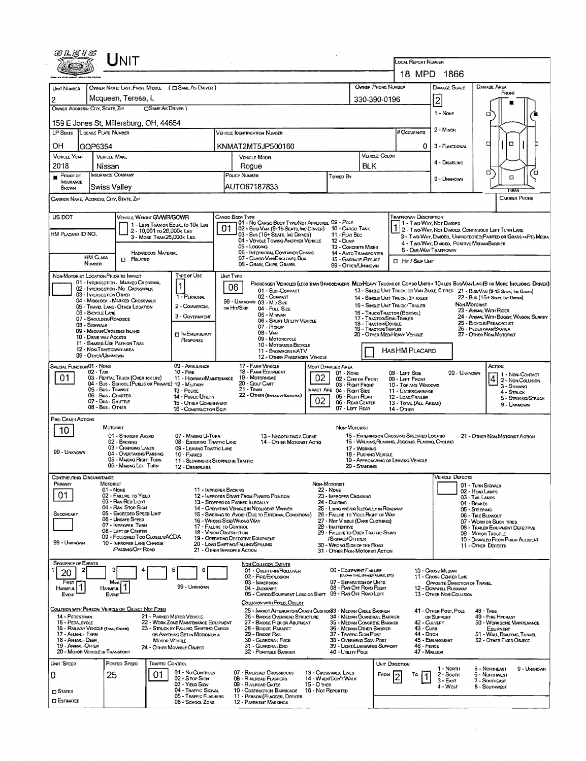| WLE1S                                                                                                                                                                                       |                                                | UNIT                                                                  |                            |                                                                      |                                                                                                                       |                                                                                                                                                                                                        |                                                               |                                                                                     |                                             |                                            | LOCAL REPORT NUMBER                                                 |                                                                                 |                                                                                                                               |  |  |  |  |
|---------------------------------------------------------------------------------------------------------------------------------------------------------------------------------------------|------------------------------------------------|-----------------------------------------------------------------------|----------------------------|----------------------------------------------------------------------|-----------------------------------------------------------------------------------------------------------------------|--------------------------------------------------------------------------------------------------------------------------------------------------------------------------------------------------------|---------------------------------------------------------------|-------------------------------------------------------------------------------------|---------------------------------------------|--------------------------------------------|---------------------------------------------------------------------|---------------------------------------------------------------------------------|-------------------------------------------------------------------------------------------------------------------------------|--|--|--|--|
|                                                                                                                                                                                             |                                                |                                                                       |                            |                                                                      |                                                                                                                       |                                                                                                                                                                                                        |                                                               |                                                                                     |                                             |                                            |                                                                     | 18 MPD 1866                                                                     |                                                                                                                               |  |  |  |  |
| UNIT NUMBER                                                                                                                                                                                 |                                                |                                                                       |                            | OWNER NAME: LAST, FIRST, MIDDLE ( C SAME AS DRIVER )                 |                                                                                                                       |                                                                                                                                                                                                        |                                                               |                                                                                     |                                             | OWNER PHONE NUMBER                         |                                                                     | DAMAGE SCALE                                                                    | DAMAGE AREA<br>FRONT                                                                                                          |  |  |  |  |
| 2                                                                                                                                                                                           |                                                | Mcqueen, Teresa, L                                                    |                            |                                                                      |                                                                                                                       |                                                                                                                                                                                                        |                                                               |                                                                                     |                                             | 330-390-0196                               |                                                                     | 2                                                                               |                                                                                                                               |  |  |  |  |
| OWNER ADDRESS: CITY, STATE, ZIP                                                                                                                                                             |                                                |                                                                       | <b>CISAME AS DRIVER</b> )  |                                                                      |                                                                                                                       |                                                                                                                                                                                                        |                                                               |                                                                                     |                                             |                                            |                                                                     | 1 - None                                                                        | о                                                                                                                             |  |  |  |  |
| 159 E Jones St, Millersburg, OH, 44654                                                                                                                                                      |                                                |                                                                       |                            |                                                                      |                                                                                                                       | 2 - MINOR                                                                                                                                                                                              |                                                               |                                                                                     |                                             |                                            |                                                                     |                                                                                 |                                                                                                                               |  |  |  |  |
| LP STATE LICENSE PLATE NUMBER                                                                                                                                                               |                                                |                                                                       |                            |                                                                      |                                                                                                                       | # Occupants                                                                                                                                                                                            |                                                               |                                                                                     |                                             |                                            |                                                                     |                                                                                 |                                                                                                                               |  |  |  |  |
| OН                                                                                                                                                                                          | GQP6354                                        |                                                                       |                            |                                                                      |                                                                                                                       | KNMAT2MT5JP500160                                                                                                                                                                                      |                                                               |                                                                                     |                                             |                                            | 0                                                                   | 3 - FUNCTIONAL                                                                  | o<br>п                                                                                                                        |  |  |  |  |
| <b>VERICLE YEAR</b>                                                                                                                                                                         | <b>VEHICLE MAKE</b>                            |                                                                       |                            |                                                                      |                                                                                                                       | VEHICLE MODEL                                                                                                                                                                                          |                                                               |                                                                                     | <b>BLK</b>                                  | VEHICLE COLOR                              |                                                                     | 4 - DISABLING                                                                   |                                                                                                                               |  |  |  |  |
| 2018<br>$P$ ROOF OF                                                                                                                                                                         | Nissan<br><b>INSURANCE COMPANY</b>             |                                                                       |                            |                                                                      | Rogue<br>POLICY NUMBER                                                                                                |                                                                                                                                                                                                        |                                                               |                                                                                     |                                             |                                            |                                                                     |                                                                                 | σ<br>п                                                                                                                        |  |  |  |  |
| <b>INSURANCE</b><br>Shown                                                                                                                                                                   | Swiss Valley                                   |                                                                       |                            |                                                                      |                                                                                                                       | AUTO67187833                                                                                                                                                                                           |                                                               | Towed By                                                                            |                                             |                                            |                                                                     | 9 - Ummown                                                                      | □<br>FEAR                                                                                                                     |  |  |  |  |
| <b>CARRIER PHONE</b><br>CARRIER NAME, ADDRESS, CITY, STATE, ZIP                                                                                                                             |                                                |                                                                       |                            |                                                                      |                                                                                                                       |                                                                                                                                                                                                        |                                                               |                                                                                     |                                             |                                            |                                                                     |                                                                                 |                                                                                                                               |  |  |  |  |
| US DOT                                                                                                                                                                                      |                                                | VEHICLE WEIGHT GVWR/GCWR                                              |                            |                                                                      |                                                                                                                       | CARGO BODY TYPE<br>01 - No CARGO BODY TYPE/NOT APPLICABL 09 - POLE                                                                                                                                     |                                                               |                                                                                     |                                             |                                            | <b>TRAFFICWAY DESCRIPTION</b>                                       |                                                                                 |                                                                                                                               |  |  |  |  |
| HM PLACARD ID NO.                                                                                                                                                                           |                                                |                                                                       | 2 - 10,001 to 26,000 kLas  | 1 - LESS THAN OR EQUAL TO 10K LBS                                    |                                                                                                                       | 02 - BUS/VAN (9-15 SEATS, INC DRIVER) 10 - CARGO TANK<br>03 - Bus (16+ Seats, Inc Driver)                                                                                                              |                                                               |                                                                                     |                                             |                                            |                                                                     | 1 - Two-Way, Not Divided                                                        | 1 2 - Two-Way, Not Divided, Continuous Left Turn Lane                                                                         |  |  |  |  |
|                                                                                                                                                                                             |                                                |                                                                       | 3 - MORE THAN 26,000K LES. |                                                                      |                                                                                                                       | 04 - VEHICLE TOWING ANOTHER VEHICLE<br>05 - Locaing                                                                                                                                                    |                                                               | 11 - FLAT BEO<br>$12 - D$ ump<br>13 - CONCRETE MUXER                                |                                             |                                            |                                                                     |                                                                                 | 3 - Two-Way, Divided, Unprotected(Painted or Grass >4FT.) Media<br>4 - Two-Way, Divided, Positive MedianBarrier               |  |  |  |  |
|                                                                                                                                                                                             | <b>HM CLASS</b>                                |                                                                       | <b>HAZARDOUS MATERIAL</b>  |                                                                      |                                                                                                                       | 06 - INTERMODAL CONTAINER CHASIS<br>07 - CARGO VAN ENCLOSED BOX                                                                                                                                        |                                                               | 14 - AUTO TRANSPORTER                                                               |                                             |                                            | 5 - ONE-WAY TRAFFICWAY                                              |                                                                                 |                                                                                                                               |  |  |  |  |
|                                                                                                                                                                                             | NUMBER                                         | <b>C</b> RELATED                                                      |                            |                                                                      |                                                                                                                       | 08 - GRAIN, CHIPS, GRAVEL                                                                                                                                                                              |                                                               | 15 - GARBAGE /REFUSE<br>99 - OTHER/UNKNOWN                                          |                                             |                                            | <b>D</b> Hrt / Skip UNT                                             |                                                                                 |                                                                                                                               |  |  |  |  |
| NON-MOTORIST LOCATION PRIOR TO IMPACT                                                                                                                                                       |                                                | 01 - INTERSECTION - MARKED CROSSWAL                                   |                            | TYPE OF USE                                                          |                                                                                                                       | UNIT TYPE                                                                                                                                                                                              |                                                               |                                                                                     |                                             |                                            |                                                                     |                                                                                 | PASSENGER VEHICLES (LESS THAN 9 PASSENGERS MEDIHEAVY TRUCKS OR COMBO UNITS > 10K LBS BUS/VAN/LIMO(9 OR MORE INCLUDING DRIVER) |  |  |  |  |
|                                                                                                                                                                                             | 03 - INTERSECTION OTHER                        | 02 - INTERSECTION - NO CROSSWALK                                      |                            | $\mathbf{1}$                                                         |                                                                                                                       | 06<br>01 - Sub-Compact                                                                                                                                                                                 |                                                               |                                                                                     |                                             |                                            |                                                                     |                                                                                 | 13 - SINGLE UNIT TRUCK OR VAN 2AXLE, 6 TRES 21 - BUS/VAN (9-15 SEATS, INC DRAYER)                                             |  |  |  |  |
|                                                                                                                                                                                             |                                                | 04 - MIDBLOCK - MARKED CROSSWALK<br>05 - TRAVEL LANE - OTHER LOCATION |                            | 1 - PERSONAL<br>2 - COMMERCIAL                                       |                                                                                                                       | $02 -$ Coupact<br>99 - UNKNOWN 03 - MID SIZE                                                                                                                                                           |                                                               |                                                                                     |                                             |                                            | 14 - SINGLE UNIT TRUCK: 3+ AXLES<br>15 - SINGLE UNIT TRUCK/ TRAILER |                                                                                 | 22 - Bus (16+ Sears, Ive Draver)<br>NON-MOTORIST                                                                              |  |  |  |  |
|                                                                                                                                                                                             | 06 - BICYCLE LANE<br>07 - SHOULDER/ROADSIDE    |                                                                       |                            | 3 - GOVERNMENT                                                       |                                                                                                                       | or Hit/Skip<br>04 - FULL SIZE<br>05 - Minivan                                                                                                                                                          |                                                               |                                                                                     |                                             |                                            | 16 - TRUCK/TRACTOR (BOSTAIL)                                        |                                                                                 | 23 - AMMAL WITH RIDER<br>24 - ANIMAL WITH BUGGY, WAGON, SURREY                                                                |  |  |  |  |
|                                                                                                                                                                                             | 08 - Sidewalk                                  | 09 - MEDIAN CROSSING ISLAND                                           |                            |                                                                      |                                                                                                                       | 17 - Tractor/Semi-Trailer<br>06 - Sport Uttuty Verscue<br>18 - TRACTOR/DOUBLE<br>07 - Pickup<br>19 - Tractor/Triples                                                                                   |                                                               |                                                                                     |                                             |                                            |                                                                     | 25 - BICYCLE/PEDACYCLIST<br>26 - PEDESTRIAN/SKATER                              |                                                                                                                               |  |  |  |  |
|                                                                                                                                                                                             | 10 - DRIVE WAY ACCESS                          | 11 - SHARED-USE PATH OR TRAIL                                         |                            | <b>DIN EMERGENCY</b><br>RESPONSE                                     | 08 - Van<br>09 - MOTORCYCLE                                                                                           |                                                                                                                                                                                                        |                                                               |                                                                                     |                                             |                                            | 20 - OTHER MEDIMEAVY VEHICLE                                        |                                                                                 | 27 - OTHER NON-MOTORIST                                                                                                       |  |  |  |  |
|                                                                                                                                                                                             | 12 - NON-TRAFFICWAY AREA<br>99 - OTHER/UNKNOWN |                                                                       |                            |                                                                      |                                                                                                                       | 10 - MOTORIZED BICYCLE<br>11 - SNOWMOBILE/ATV<br>12 - OTHER PASSENGER VEHICLE                                                                                                                          |                                                               |                                                                                     |                                             |                                            |                                                                     | HAS HM PLACARD                                                                  |                                                                                                                               |  |  |  |  |
| SPECIAL FUNCTION 01 - NONE                                                                                                                                                                  |                                                |                                                                       |                            | 09 - AMBULANCE                                                       |                                                                                                                       | 17 - FARM VEHICLE                                                                                                                                                                                      |                                                               | Most Damaged Area                                                                   |                                             |                                            |                                                                     |                                                                                 | Аспом                                                                                                                         |  |  |  |  |
| $02 - T_Ax$<br>$10 -$ FIRE<br>01<br>03 - RENTAL TRUCK (OVER 10K LBS)<br>11 - HIGHWAY/MAINTENANCE<br>04 - Bus - SCHOOL (PUBLIC OR PRIVATE) 12 - MILITARY<br>05 - Bus - Transit<br>13 - Pouce |                                                |                                                                       |                            |                                                                      |                                                                                                                       | 18 - FARM EQUIPMENT<br>19 - MOTORHOME                                                                                                                                                                  | 02                                                            | 01 - NOME<br>02 - CENTER FRONT                                                      |                                             |                                            | 08 - LEFT SIDE<br>09 - LEFT FROMT                                   | 99 - UNKNOWN                                                                    | 1 - Non-Contact<br>$ 4 $ 2 - Non-Collision                                                                                    |  |  |  |  |
|                                                                                                                                                                                             |                                                |                                                                       |                            |                                                                      |                                                                                                                       | 20 - Gour CART<br>$21 -$ TRAIN                                                                                                                                                                         | 03 - Right Front<br><b>IMPACT ARE 04 - RIGHT SIDE</b>         |                                                                                     |                                             | 10 - Top and Windows<br>11 - UNDERCARRIAGE |                                                                     | 3 - STRIKING                                                                    |                                                                                                                               |  |  |  |  |
| 06 - Bus - Charter<br>14 - Pusuc Unury<br>07 - Bus - SHUTTLE<br>15 - Other Government                                                                                                       |                                                |                                                                       |                            |                                                                      |                                                                                                                       | 22 - OTHER (EXPLAN IN NARRATIVE)                                                                                                                                                                       | 05 - Right Rear<br>06 - REAR CENTER                           |                                                                                     | 12 - LOAD/TRAILER<br>13 - TOTAL (ALL AREAS) |                                            | 4 - Struck<br>5 - STRIKING/STRUCK                                   |                                                                                 |                                                                                                                               |  |  |  |  |
| 08 - Bus - Other<br>16 - CONSTRUCTION EQIP                                                                                                                                                  |                                                |                                                                       |                            |                                                                      |                                                                                                                       |                                                                                                                                                                                                        | 07 - LEFT REAR                                                |                                                                                     |                                             | 14 - Отнея                                 |                                                                     | 9 - Unknown                                                                     |                                                                                                                               |  |  |  |  |
| PRE-CRASH ACTIONS                                                                                                                                                                           | MOTORIST                                       |                                                                       |                            |                                                                      |                                                                                                                       |                                                                                                                                                                                                        |                                                               | Non-Motorist                                                                        |                                             |                                            |                                                                     |                                                                                 |                                                                                                                               |  |  |  |  |
| 10                                                                                                                                                                                          |                                                | 01 - STRAIGHT AHEAD<br>02 - BACKING                                   |                            | 07 - MAKING U-TURN<br>08 - ENTERING TRAFFIC LANE                     |                                                                                                                       | 13 - NEGOTIATING A CURVE<br>14 - OTHER MOTORIST ACTIO                                                                                                                                                  |                                                               | 15 - ENTERING OR CROSSING SPECIFIED LOCATIO                                         | 21 - OTHER NON-MOTORIST ACTION              |                                            |                                                                     |                                                                                 |                                                                                                                               |  |  |  |  |
| 99 - UNKNOWN                                                                                                                                                                                |                                                | 03 - Changing Lanes<br>04 - OVERTAKING/PASSING                        |                            | 09 - LEAVING TRAFFIC LANE                                            |                                                                                                                       |                                                                                                                                                                                                        |                                                               |                                                                                     |                                             | 17 - WORKING<br>18 - PUSHING VEHICLE       | 16 - WALKING, RUNNING, JOGGING, PLAYING, CYCLING                    |                                                                                 |                                                                                                                               |  |  |  |  |
|                                                                                                                                                                                             |                                                | 05 - MAKING RIGHT TURN<br>06 - MAKING LEFT TURN                       |                            | 10 - PARKED<br>11 - Slowing or Stopped in Traffic<br>12 - DRIVERLESS |                                                                                                                       |                                                                                                                                                                                                        |                                                               | 20 - STANDING                                                                       |                                             | 19 - APPROACHING OR LEAVING VEHICLE        |                                                                     |                                                                                 |                                                                                                                               |  |  |  |  |
| CONTRIBUTING CIRCUMSTANCE                                                                                                                                                                   |                                                |                                                                       |                            |                                                                      |                                                                                                                       |                                                                                                                                                                                                        |                                                               |                                                                                     |                                             |                                            |                                                                     | VEHICLE DEFECTS                                                                 |                                                                                                                               |  |  |  |  |
| Primary                                                                                                                                                                                     | MOTORIST<br>01 - None                          |                                                                       |                            | 11 - IMPROPER BACKING                                                |                                                                                                                       |                                                                                                                                                                                                        |                                                               | NON MOTORIST<br>22 - None                                                           |                                             |                                            |                                                                     |                                                                                 | 01 - TURN SIGNALS                                                                                                             |  |  |  |  |
| 01                                                                                                                                                                                          |                                                | 02 - FAILURE TO YIELD<br>03 - RAN RED LIGHT                           |                            |                                                                      |                                                                                                                       | 12 - IMPROPER START FROM PARKED POSITION<br>13 - STOPPED OR PARKED ILLEGALLY                                                                                                                           | 23 - IMPROPER CROSSING                                        |                                                                                     |                                             |                                            | 02 - HEAD LAMPS<br>03 - TAIL LAMPS                                  |                                                                                 |                                                                                                                               |  |  |  |  |
| SECONDARY                                                                                                                                                                                   |                                                | 04 - RAN STOP SIGN<br>05 - Exceeded Speed LIMIT                       |                            |                                                                      |                                                                                                                       | 24 - DARTING<br>14 - Operating Vehicle in Negligent MANDER<br>25 - LYING ANDIOR ILLEGALLY IN ROADWAY                                                                                                   |                                                               |                                                                                     |                                             |                                            |                                                                     |                                                                                 | 04 - Brakes<br>05 - STEERING                                                                                                  |  |  |  |  |
|                                                                                                                                                                                             |                                                | 06 - UNSAFE SPEED<br>07 - IMPROPER TURN                               |                            |                                                                      |                                                                                                                       | 15 - SWERING TO AVOID (DUE TO EXTERNAL CONDITIONS)<br>26 - FALURE TO YIELD RIGHT OF WAY<br>16 - WRONG SIDEAVRONG WAY<br>27 - NOT VISIBLE (DARK CLOTHING)<br>17 - FALURE TO CONTROL<br>28 - INATTENTIVE |                                                               |                                                                                     |                                             |                                            |                                                                     | 06 - TIRE BLOWOUT<br>07 - WORN OR SUCK TIRES                                    |                                                                                                                               |  |  |  |  |
| 08 - LEFT OF CENTER<br>18 - Vision OBSTRUCTION<br>09 - Followed Too CloselwACDA                                                                                                             |                                                |                                                                       |                            |                                                                      |                                                                                                                       | 19 - OPERATING DEFECTIVE EQUIPMENT                                                                                                                                                                     | 29 - FALURE TO OBEY TRAFFIC SIGNS<br>/SIGNALS/OFFICER         |                                                                                     |                                             |                                            |                                                                     | 08 - TRAILER EQUIPMENT DEFECTIVE<br>09 - MOTOR TROUBLE                          |                                                                                                                               |  |  |  |  |
| 99 - UNKNOWN                                                                                                                                                                                |                                                | 10 - IMPROPER LANE CHANGE<br>PASSING OFF ROAD                         |                            |                                                                      |                                                                                                                       | 20 - LOAD SHIFTING/FALUNG/SPILLING<br>21 - OTHER IMPROPER ACTION                                                                                                                                       | 30 - WRONG SIDE OF THE ROAD<br>31 - OTHER NON-MOTORIST ACTION |                                                                                     |                                             |                                            |                                                                     | 10 - DISABLED FROM PRIOR ACCIDENT<br>11 - OTHER DEFECTS                         |                                                                                                                               |  |  |  |  |
| <b>SEQUENCE OF EVENTS</b>                                                                                                                                                                   |                                                |                                                                       |                            |                                                                      |                                                                                                                       | <b>NON-COLLISION EVENTS</b>                                                                                                                                                                            |                                                               |                                                                                     |                                             |                                            |                                                                     |                                                                                 |                                                                                                                               |  |  |  |  |
| 20                                                                                                                                                                                          | з                                              |                                                                       |                            | 6                                                                    |                                                                                                                       | 01 - OVERTURN/ROLLOVER<br>02 - FIRE/EXPLOSION                                                                                                                                                          |                                                               | 06 - EQUIPMENT FALURE                                                               | (BLOWN TIRE, BRAKE FAILURE, ETC)            |                                            |                                                                     | 10 - Cross Median                                                               |                                                                                                                               |  |  |  |  |
| FIRST<br><b>HARMFUL</b>                                                                                                                                                                     | <b>HARMFUL</b>                                 | Most)                                                                 |                            | 99 - Unknown                                                         |                                                                                                                       | 03 - IMMERSION<br>04 - JACKKNIFE                                                                                                                                                                       |                                                               | 07 - SEPARATION OF UNITS<br>08 - RAN OFF ROAD RIGHT                                 |                                             |                                            |                                                                     | 11 - Cross Center Line<br>OPPOSITE DIRECTION OF TRAVEL<br>12 - DOWNHOLL RUNAWAY |                                                                                                                               |  |  |  |  |
| EVENT                                                                                                                                                                                       | <b>EVENT</b>                                   |                                                                       |                            |                                                                      |                                                                                                                       | 05 - CARGO/EQUIPMENT LOSS OR SHIFT                                                                                                                                                                     |                                                               | 09 - RAN OFF ROAD LEFT                                                              |                                             |                                            |                                                                     | 13 - OTHER NON-COLUSION                                                         |                                                                                                                               |  |  |  |  |
| COLLISION WITH PERSON, VEHICLE OR OBJECT NOT FIXED                                                                                                                                          |                                                |                                                                       |                            |                                                                      |                                                                                                                       | COLUSION WITH FIXED, OBJECT<br>25 - IMPACT ATTENUATOR/CRASH CUSHION33 - MEDIAN CABLE BARRIER                                                                                                           |                                                               |                                                                                     |                                             |                                            |                                                                     | 41 - OTHER POST, POLE                                                           | $48 - TREF$                                                                                                                   |  |  |  |  |
| 14 - PEDESTRIAN<br>21 - PARKED MOTOR VEHICLE<br>15 - PEDALCYCLE<br>22 - WORK ZONE MAINTENANCE EOUIPMENT                                                                                     |                                                |                                                                       |                            |                                                                      |                                                                                                                       | 26 - BRIDGE OVERHEAD STRUCTURE<br>27 - BRIDGE PIER OR ABUTMENT                                                                                                                                         |                                                               | 34 - MEDIAN GUARDRAIL BARRIER                                                       |                                             |                                            | 42 - CULVERT                                                        | OR SUPPORT                                                                      | 49 - FIRE HYDRAIT<br>50 - WORKZONE MAINTENANCE                                                                                |  |  |  |  |
| 16 - RAILWAY VEHICLE (TRAIN, ENGINE)<br>23 - STRUCK BY FALLING, SHIFTING CARGO<br>17 - ANIMAL - FARM<br>OR ANYTHING SET IN MOTION BY A                                                      |                                                |                                                                       |                            | 28 - BRIDGE PARAPET<br>29 - Bridge Rail                              |                                                                                                                       |                                                                                                                                                                                                        |                                                               | 35 - MEDIAN CONCRETE BARRIER<br>36 - MEDIAN OTHER BARRIER<br>37 - TRAFFIC SIGN POST |                                             |                                            | 43 - CURB<br>44 - Dirch                                             | EQUIPMENT<br>51 - WALL BUILDING, TUNNEL                                         |                                                                                                                               |  |  |  |  |
| 18 - Animal - Deer<br><b>MOTOR VEHICLE</b><br>19 - ANIMAL-OTHER<br>24 - OTHER MOVABLE OBJECT                                                                                                |                                                |                                                                       |                            |                                                                      |                                                                                                                       | 30 - GUARDRAIL FACE<br>31 - GUARDRAILEND                                                                                                                                                               |                                                               | 38 - Overhead Ston Post<br>39 - Light/LUMINARIES SUPPORT                            |                                             |                                            | 45 - EMBANKMENT<br>46 - FENCE                                       | 52 - OTHER FIXED OBJECT                                                         |                                                                                                                               |  |  |  |  |
| <b>20 - MOTOR VEHICLE IN TRANSPORT</b>                                                                                                                                                      |                                                |                                                                       |                            |                                                                      |                                                                                                                       | 32 - PORTABLE BARRIER                                                                                                                                                                                  |                                                               | 40 - UTILITY POLE                                                                   |                                             |                                            | 47 - MAILBOX                                                        |                                                                                 |                                                                                                                               |  |  |  |  |
| UNIT SPEED                                                                                                                                                                                  |                                                | POSTED SPEED                                                          | TRAFFIC CONTROL            | 01 - No CONTROLS                                                     |                                                                                                                       | 07 - RAUROAD CROSSBUCKS                                                                                                                                                                                |                                                               | 13 - Crosswalk Lines                                                                |                                             | UNIT DIRECTION                             |                                                                     | 1 - North                                                                       | 5 - Northeast<br>9 - UNKNOWN                                                                                                  |  |  |  |  |
| 0                                                                                                                                                                                           | 25                                             |                                                                       | 01                         | 02 - Stop Sign<br>03 - YIELD SIGN                                    |                                                                                                                       | 08 - RAILROAD FLASHERS                                                                                                                                                                                 |                                                               | 14 - WALK/DON'T WALK                                                                |                                             | FROM 12                                    | Т٥                                                                  | 2 - Soum<br>$3 - E$ AST                                                         | 6 - Northwest<br>7 - SOUTHEAST                                                                                                |  |  |  |  |
| <b>CI</b> Stated                                                                                                                                                                            |                                                |                                                                       |                            | 04 - Traffic Signal<br>05 - TRAFFIC FLASHERS                         | 15 - О тнев<br>09 - RALROAD GATES<br>10 - Costruction Barricade<br>16 - Not Reported<br>11 - PERSON (FLAGGER, OFFICER |                                                                                                                                                                                                        |                                                               |                                                                                     |                                             |                                            |                                                                     | 4 - West                                                                        | 8 - SOUTHWEST                                                                                                                 |  |  |  |  |
| <b>CI ESTIMATED</b>                                                                                                                                                                         |                                                |                                                                       |                            | 06 - SCHOOL ZONE                                                     |                                                                                                                       | <b>12 - PAVEMENT MARKINGS</b>                                                                                                                                                                          |                                                               |                                                                                     |                                             |                                            |                                                                     |                                                                                 |                                                                                                                               |  |  |  |  |

 $\mathcal{L}(\mathcal{A})$  .